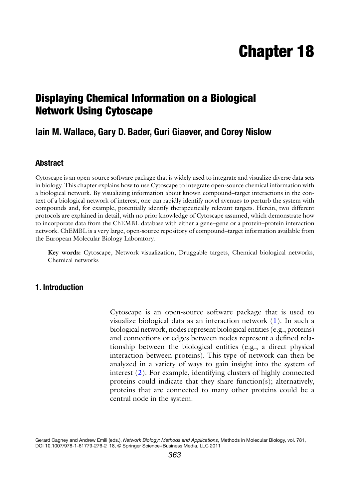# Chapter 18

# Displaying Chemical Information on a Biological Network Using Cytoscape

# **Iain M. Wallace, Gary D. Bader, Guri Giaever, and Corey Nislow**

### **Abstract**

Cytoscape is an open-source software package that is widely used to integrate and visualize diverse data sets in biology. This chapter explains how to use Cytoscape to integrate open-source chemical information with a biological network. By visualizing information about known compound–target interactions in the context of a biological network of interest, one can rapidly identify novel avenues to perturb the system with compounds and, for example, potentially identify therapeutically relevant targets. Herein, two different protocols are explained in detail, with no prior knowledge of Cytoscape assumed, which demonstrate how to incorporate data from the ChEMBL database with either a gene–gene or a protein–protein interaction network. ChEMBL is a very large, open-source repository of compound–target information available from the European Molecular Biology Laboratory.

**Key words:** Cytoscape, Network visualization, Druggable targets, Chemical biological networks, Chemical networks

# **1. Introduction**

Cytoscape is an open-source software package that is used to visualize biological data as an interaction network ([1\)](#page-13-0). In such a biological network, nodes represent biological entities (e.g., proteins) and connections or edges between nodes represent a defined relationship between the biological entities (e.g., a direct physical interaction between proteins). This type of network can then be analyzed in a variety of ways to gain insight into the system of interest [\(2\)](#page-13-1). For example, identifying clusters of highly connected proteins could indicate that they share function(s); alternatively, proteins that are connected to many other proteins could be a central node in the system.

Gerard Cagney and Andrew Emili (eds.), *Network Biology: Methods and Applications*, Methods in Molecular Biology, vol. 781, DOI 10.1007/978-1-61779-276-2\_18, © Springer Science+Business Media, LLC 2011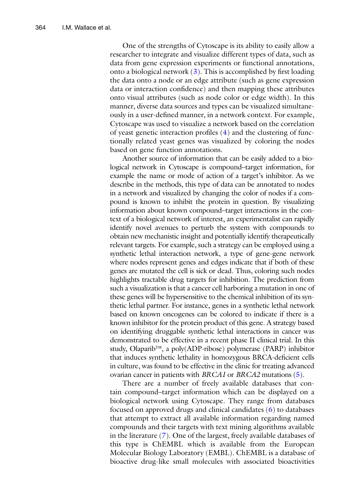One of the strengths of Cytoscape is its ability to easily allow a researcher to integrate and visualize different types of data, such as data from gene expression experiments or functional annotations, onto a biological network  $(3)$  $(3)$ . This is accomplished by first loading the data onto a node or an edge attribute (such as gene expression data or interaction confidence) and then mapping these attributes onto visual attributes (such as node color or edge width). In this manner, diverse data sources and types can be visualized simultaneously in a user-defined manner, in a network context. For example, Cytoscape was used to visualize a network based on the correlation of yeast genetic interaction profiles ([4\)](#page-13-3) and the clustering of functionally related yeast genes was visualized by coloring the nodes based on gene function annotations.

Another source of information that can be easily added to a biological network in Cytoscape is compound–target information, for example the name or mode of action of a target's inhibitor. As we describe in the methods, this type of data can be annotated to nodes in a network and visualized by changing the color of nodes if a compound is known to inhibit the protein in question. By visualizing information about known compound–target interactions in the context of a biological network of interest, an experimentalist can rapidly identify novel avenues to perturb the system with compounds to obtain new mechanistic insight and potentially identify therapeutically relevant targets. For example, such a strategy can be employed using a synthetic lethal interaction network, a type of gene-gene network where nodes represent genes and edges indicate that if both of these genes are mutated the cell is sick or dead. Thus, coloring such nodes highlights tractable drug targets for inhibition. The prediction from such a visualization is that a cancer cell harboring a mutation in one of these genes will be hypersensitive to the chemical inhibition of its synthetic lethal partner. For instance, genes in a synthetic lethal network based on known oncogenes can be colored to indicate if there is a known inhibitor for the protein product of this gene. A strategy based on identifying druggable synthetic lethal interactions in cancer was demonstrated to be effective in a recent phase II clinical trial. In this study, Olaparib™, a poly(ADP-ribose) polymerase (PARP) inhibitor that induces synthetic lethality in homozygous BRCA-deficient cells in culture, was found to be effective in the clinic for treating advanced ovarian cancer in patients with *BRCA1* or *BRCA2* mutations [\(5\)](#page-13-4).

There are a number of freely available databases that contain compound–target information which can be displayed on a biological network using Cytoscape. They range from databases focused on approved drugs and clinical candidates [\(6](#page-13-5)) to databases that attempt to extract all available information regarding named compounds and their targets with text mining algorithms available in the literature ([7](#page-13-6)). One of the largest, freely available databases of this type is ChEMBL which is available from the European Molecular Biology Laboratory (EMBL). ChEMBL is a database of bioactive drug-like small molecules with associated bioactivities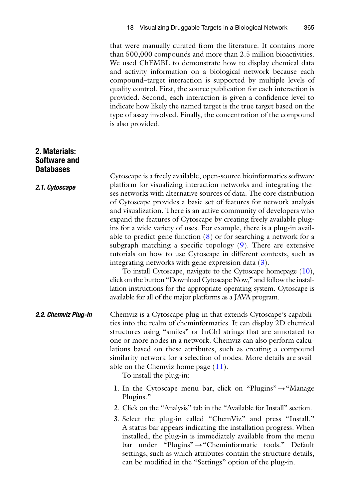that were manually curated from the literature. It contains more than 500,000 compounds and more than 2.5 million bioactivities. We used ChEMBL to demonstrate how to display chemical data and activity information on a biological network because each compound–target interaction is supported by multiple levels of quality control. First, the source publication for each interaction is provided. Second, each interaction is given a confidence level to indicate how likely the named target is the true target based on the type of assay involved. Finally, the concentration of the compound is also provided.

## **2. Materials: Software and Databases**

#### *2.1. Cytoscape*

Cytoscape is a freely available, open-source bioinformatics software platform for visualizing interaction networks and integrating theses networks with alternative sources of data. The core distribution of Cytoscape provides a basic set of features for network analysis and visualization. There is an active community of developers who expand the features of Cytoscape by creating freely available plugins for a wide variety of uses. For example, there is a plug-in available to predict gene function  $(8)$  or for searching a network for a subgraph matching a specific topology  $(9)$  $(9)$ . There are extensive tutorials on how to use Cytoscape in different contexts, such as integrating networks with gene expression data  $(3)$  $(3)$ .

To install Cytoscape, navigate to the Cytoscape homepage  $(10)$  $(10)$ , click on the button "Download Cytoscape Now," and follow the installation instructions for the appropriate operating system. Cytoscape is available for all of the major platforms as a JAVA program.

Chemviz is a Cytoscape plug-in that extends Cytoscape's capabilities into the realm of cheminformatics. It can display 2D chemical structures using "smiles" or InChI strings that are annotated to one or more nodes in a network. Chemviz can also perform calculations based on these attributes, such as creating a compound similarity network for a selection of nodes. More details are available on the Chemviz home page  $(11)$  $(11)$  $(11)$ . *2.2. Chemviz Plug-In*

To install the plug-in:

- 1. In the Cytoscape menu bar, click on "Plugins"→"Manage Plugins."
- 2. Click on the "Analysis" tab in the "Available for Install" section.
- 3. Select the plug-in called "ChemViz" and press "Install." A status bar appears indicating the installation progress. When installed, the plug-in is immediately available from the menu bar under "Plugins"→"Cheminformatic tools." Default settings, such as which attributes contain the structure details, can be modified in the "Settings" option of the plug-in.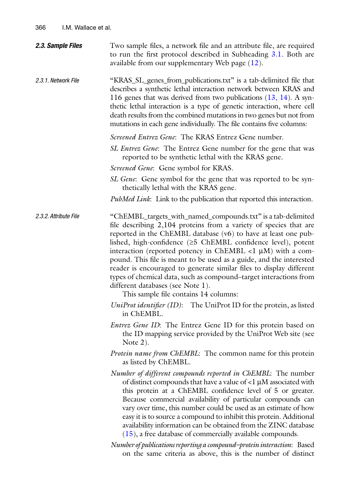<span id="page-3-0"></span>

| 2.3. Sample Files     | Two sample files, a network file and an attribute file, are required<br>to run the first protocol described in Subheading $3.1$ . Both are<br>available from our supplementary Web page $(12)$ .                                                                                                                                                                                                                                                                                                                                                                                                                                                          |
|-----------------------|-----------------------------------------------------------------------------------------------------------------------------------------------------------------------------------------------------------------------------------------------------------------------------------------------------------------------------------------------------------------------------------------------------------------------------------------------------------------------------------------------------------------------------------------------------------------------------------------------------------------------------------------------------------|
| 2.3.1. Network File   | "KRAS_SL_genes_from_publications.txt" is a tab-delimited file that<br>describes a synthetic lethal interaction network between KRAS and<br>116 genes that was derived from two publications $(13, 14)$ . A syn-<br>thetic lethal interaction is a type of genetic interaction, where cell<br>death results from the combined mutations in two genes but not from<br>mutations in each gene individually. The file contains five columns:                                                                                                                                                                                                                  |
|                       | <i>Screened Entrez Gene</i> : The KRAS Entrez Gene number.                                                                                                                                                                                                                                                                                                                                                                                                                                                                                                                                                                                                |
|                       | SL Entrez Gene: The Entrez Gene number for the gene that was<br>reported to be synthetic lethal with the KRAS gene.                                                                                                                                                                                                                                                                                                                                                                                                                                                                                                                                       |
|                       | Screened Gene: Gene symbol for KRAS.                                                                                                                                                                                                                                                                                                                                                                                                                                                                                                                                                                                                                      |
|                       | SL Gene: Gene symbol for the gene that was reported to be syn-<br>thetically lethal with the KRAS gene.                                                                                                                                                                                                                                                                                                                                                                                                                                                                                                                                                   |
|                       | <i>PubMed Link</i> : Link to the publication that reported this interaction.                                                                                                                                                                                                                                                                                                                                                                                                                                                                                                                                                                              |
| 2.3.2. Attribute File | "ChEMBL_targets_with_named_compounds.txt" is a tab-delimited<br>file describing 2,104 proteins from a variety of species that are<br>reported in the ChEMBL database (v6) to have at least one pub-<br>lished, high-confidence $(\geq 5 \text{ ChEMBL} \text{ confidence level})$ , potent<br>interaction (reported potency in ChEMBL <1 µM) with a com-<br>pound. This file is meant to be used as a guide, and the interested<br>reader is encouraged to generate similar files to display different<br>types of chemical data, such as compound-target interactions from<br>different databases (see Note 1).<br>This sample file contains 14 columns: |
|                       | UniProt identifier (ID): The UniProt ID for the protein, as listed<br>in ChEMBL.                                                                                                                                                                                                                                                                                                                                                                                                                                                                                                                                                                          |
|                       | <i>Entrez Gene ID</i> : The Entrez Gene ID for this protein based on<br>the ID mapping service provided by the UniProt Web site (see<br>Note 2).                                                                                                                                                                                                                                                                                                                                                                                                                                                                                                          |
|                       | <i>Protein name from ChEMBL</i> : The common name for this protein<br>as listed by ChEMBL.                                                                                                                                                                                                                                                                                                                                                                                                                                                                                                                                                                |
|                       | Number of different compounds reported in ChEMBL: The number<br>of distinct compounds that have a value of <1 µM associated with<br>this protein at a ChEMBL confidence level of 5 or greater.<br>Because commercial availability of particular compounds can<br>vary over time, this number could be used as an estimate of how<br>easy it is to source a compound to inhibit this protein. Additional<br>availability information can be obtained from the ZINC database<br>$(15)$ , a free database of commercially available compounds.                                                                                                               |
|                       | Number of publications reporting a compound–protein interaction: Based<br>on the same criteria as above, this is the number of distinct                                                                                                                                                                                                                                                                                                                                                                                                                                                                                                                   |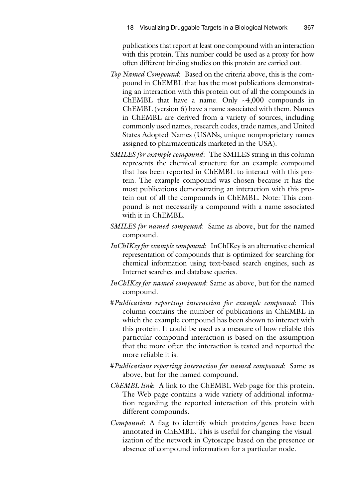publications that report at least one compound with an interaction with this protein. This number could be used as a proxy for how often different binding studies on this protein are carried out.

- *Top Named Compound*: Based on the criteria above, this is the compound in ChEMBL that has the most publications demonstrating an interaction with this protein out of all the compounds in ChEMBL that have a name. Only  $~4,000$  compounds in ChEMBL (version 6) have a name associated with them. Names in ChEMBL are derived from a variety of sources, including commonly used names, research codes, trade names, and United States Adopted Names (USANs, unique nonproprietary names assigned to pharmaceuticals marketed in the USA).
- *SMILES for example compound*: The SMILES string in this column represents the chemical structure for an example compound that has been reported in ChEMBL to interact with this protein. The example compound was chosen because it has the most publications demonstrating an interaction with this protein out of all the compounds in ChEMBL. Note: This compound is not necessarily a compound with a name associated with it in ChEMBL.
- *SMILES for named compound*: Same as above, but for the named compound.
- *InChIKey for example compound*: InChIKey is an alternative chemical representation of compounds that is optimized for searching for chemical information using text-based search engines, such as Internet searches and database queries.
- *InChIKey for named compound*: Same as above, but for the named compound.
- #*Publications reporting interaction for example compound*: This column contains the number of publications in ChEMBL in which the example compound has been shown to interact with this protein. It could be used as a measure of how reliable this particular compound interaction is based on the assumption that the more often the interaction is tested and reported the more reliable it is.
- #*Publications reporting interaction for named compound*: Same as above, but for the named compound.
- *ChEMBL link*: A link to the ChEMBL Web page for this protein. The Web page contains a wide variety of additional information regarding the reported interaction of this protein with different compounds.
- *Compound*: A flag to identify which proteins/genes have been annotated in ChEMBL. This is useful for changing the visualization of the network in Cytoscape based on the presence or absence of compound information for a particular node.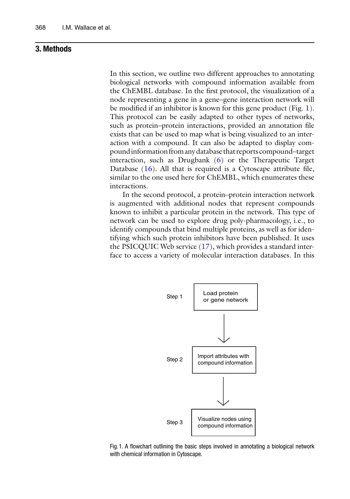## **3. Methods**

In this section, we outline two different approaches to annotating biological networks with compound information available from the ChEMBL database. In the first protocol, the visualization of a node representing a gene in a gene–gene interaction network will be modified if an inhibitor is known for this gene product (Fig. [1\)](#page-5-0). This protocol can be easily adapted to other types of networks, such as protein–protein interactions, provided an annotation file exists that can be used to map what is being visualized to an interaction with a compound. It can also be adapted to display compound information from any database that reports compound–target interaction, such as Drugbank ([6\)](#page-13-5) or the Therapeutic Target Database ([16\)](#page-13-15). All that is required is a Cytoscape attribute file, similar to the one used here for ChEMBL, which enumerates these interactions.

In the second protocol, a protein–protein interaction network is augmented with additional nodes that represent compounds known to inhibit a particular protein in the network. This type of network can be used to explore drug poly-pharmacology, i.e., to identify compounds that bind multiple proteins, as well as for identifying which such protein inhibitors have been published. It uses the PSICQUIC Web service ([17](#page-13-16)), which provides a standard interface to access a variety of molecular interaction databases. In this

<span id="page-5-0"></span>

Fig.1. A flowchart outlining the basic steps involved in annotating a biological network with chemical information in Cytoscape.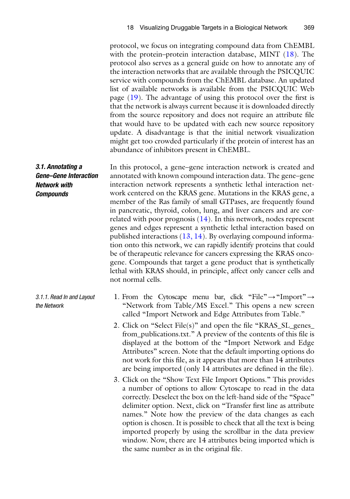protocol, we focus on integrating compound data from ChEMBL with the protein–protein interaction database, MINT ([18](#page-13-17)). The protocol also serves as a general guide on how to annotate any of the interaction networks that are available through the PSICQUIC service with compounds from the ChEMBL database. An updated list of available networks is available from the PSICQUIC Web page ([19](#page-13-18)). The advantage of using this protocol over the first is that the network is always current because it is downloaded directly from the source repository and does not require an attribute file that would have to be updated with each new source repository update. A disadvantage is that the initial network visualization might get too crowded particularly if the protein of interest has an abundance of inhibitors present in ChEMBL.

<span id="page-6-0"></span>In this protocol, a gene–gene interaction network is created and annotated with known compound interaction data. The gene–gene interaction network represents a synthetic lethal interaction network centered on the KRAS gene. Mutations in the KRAS gene, a member of the Ras family of small GTPases, are frequently found in pancreatic, thyroid, colon, lung, and liver cancers and are correlated with poor prognosis  $(14)$ . In this network, nodes represent genes and edges represent a synthetic lethal interaction based on published interactions ([13,](#page-13-12) [14\)](#page-13-13). By overlaying compound information onto this network, we can rapidly identify proteins that could be of therapeutic relevance for cancers expressing the KRAS oncogene. Compounds that target a gene product that is synthetically lethal with KRAS should, in principle, affect only cancer cells and not normal cells. *3.1. Annotating a Gene–Gene Interaction Network with Compounds*

<span id="page-6-1"></span>*3.1.1. Read In and Layout* 

*the Network*

- 1. From the Cytoscape menu bar, click "File"→"Import"→ "Network from Table/MS Excel." This opens a new screen called "Import Network and Edge Attributes from Table."
	- 2. Click on "Select File(s)" and open the file "KRAS\_SL\_genes\_ from\_publications.txt." A preview of the contents of this file is displayed at the bottom of the "Import Network and Edge Attributes" screen. Note that the default importing options do not work for this file, as it appears that more than 14 attributes are being imported (only 14 attributes are defined in the file).
	- 3. Click on the "Show Text File Import Options." This provides a number of options to allow Cytoscape to read in the data correctly. Deselect the box on the left-hand side of the "Space" delimiter option. Next, click on "Transfer first line as attribute names." Note how the preview of the data changes as each option is chosen. It is possible to check that all the text is being imported properly by using the scrollbar in the data preview window. Now, there are 14 attributes being imported which is the same number as in the original file.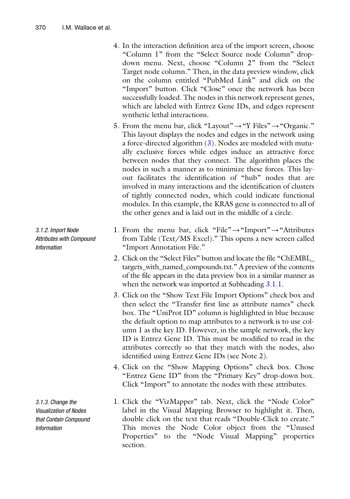- 4. In the interaction definition area of the import screen, choose "Column 1" from the "Select Source node Column" dropdown menu. Next, choose "Column 2" from the "Select Target node column." Then, in the data preview window, click on the column entitled "PubMed Link" and click on the "Import" button. Click "Close" once the network has been successfully loaded. The nodes in this network represent genes, which are labeled with Entrez Gene IDs, and edges represent synthetic lethal interactions.
- 5. From the menu bar, click "Layout" $\rightarrow$  "Y Files" $\rightarrow$  "Organic." This layout displays the nodes and edges in the network using a force-directed algorithm ([3\)](#page-13-2). Nodes are modeled with mutually exclusive forces while edges induce an attractive force between nodes that they connect. The algorithm places the nodes in such a manner as to minimize these forces. This layout facilitates the identification of "hub" nodes that are involved in many interactions and the identification of clusters of tightly connected nodes, which could indicate functional modules. In this example, the KRAS gene is connected to all of the other genes and is laid out in the middle of a circle.
- 1. From the menu bar, click "File"→"Import"→"Attributes from Table (Text/MS Excel)." This opens a new screen called "Import Annotation File."
- 2. Click on the "Select Files" button and locate the file "ChEMBL\_ targets\_with\_named\_compounds.txt." A preview of the contents of the file appears in the data preview box in a similar manner as when the network was imported at Subheading [3.1.1](#page-6-1).
- 3. Click on the "Show Text File Import Options" check box and then select the "Transfer first line as attribute names" check box. The "UniProt ID" column is highlighted in blue because the default option to map attributes to a network is to use column 1 as the key ID. However, in the sample network, the key ID is Entrez Gene ID. This must be modified to read in the attributes correctly so that they match with the nodes, also identified using Entrez Gene IDs (see Note 2).
- 4. Click on the "Show Mapping Options" check box. Chose "Entrez Gene ID" from the "Primary Key" drop-down box. Click "Import" to annotate the nodes with these attributes.
- 1. Click the "VizMapper" tab. Next, click the "Node Color" label in the Visual Mapping Browser to highlight it. Then, double click on the text that reads "Double-Click to create." This moves the Node Color object from the "Unused Properties" to the "Node Visual Mapping" properties section.

*3.1.2. Import Node Attributes with Compound Information*

*3.1.3. Change the Visualization of Nodes that Contain Compound Information*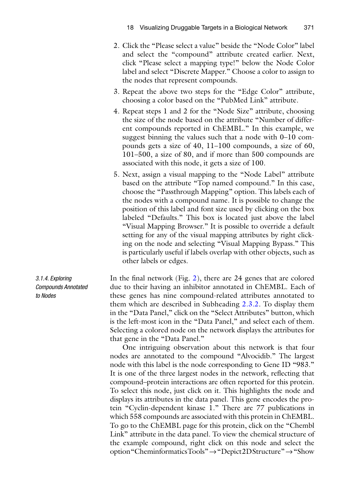- 2. Click the "Please select a value" beside the "Node Color" label and select the "compound" attribute created earlier. Next, click "Please select a mapping type!" below the Node Color label and select "Discrete Mapper." Choose a color to assign to the nodes that represent compounds.
- 3. Repeat the above two steps for the "Edge Color" attribute, choosing a color based on the "PubMed Link" attribute.
- 4. Repeat steps 1 and 2 for the "Node Size" attribute, choosing the size of the node based on the attribute "Number of different compounds reported in ChEMBL." In this example, we suggest binning the values such that a node with 0–10 compounds gets a size of 40, 11–100 compounds, a size of 60, 101–500, a size of 80, and if more than 500 compounds are associated with this node, it gets a size of 100.
- 5. Next, assign a visual mapping to the "Node Label" attribute based on the attribute "Top named compound." In this case, choose the "Passthrough Mapping" option. This labels each of the nodes with a compound name. It is possible to change the position of this label and font size used by clicking on the box labeled "Defaults." This box is located just above the label "Visual Mapping Browser." It is possible to override a default setting for any of the visual mapping attributes by right clicking on the node and selecting "Visual Mapping Bypass." This is particularly useful if labels overlap with other objects, such as other labels or edges.

In the final network (Fig. [2\)](#page-9-0), there are 24 genes that are colored due to their having an inhibitor annotated in ChEMBL. Each of these genes has nine compound-related attributes annotated to them which are described in Subheading [2.3.2](#page-3-0). To display them in the "Data Panel," click on the "Select Attributes" button, which is the left-most icon in the "Data Panel," and select each of them. Selecting a colored node on the network displays the attributes for that gene in the "Data Panel."

One intriguing observation about this network is that four nodes are annotated to the compound "Alvocidib." The largest node with this label is the node corresponding to Gene ID "983." It is one of the three largest nodes in the network, reflecting that compound–protein interactions are often reported for this protein. To select this node, just click on it. This highlights the node and displays its attributes in the data panel. This gene encodes the protein "Cyclin-dependent kinase 1." There are 77 publications in which 558 compounds are associated with this protein in ChEMBL. To go to the ChEMBL page for this protein, click on the "Chembl Link" attribute in the data panel. To view the chemical structure of the example compound, right click on this node and select the option "Cheminformatics Tools"→"Depict 2D Structure"→"Show

*3.1.4. Exploring Compounds Annotated to Nodes*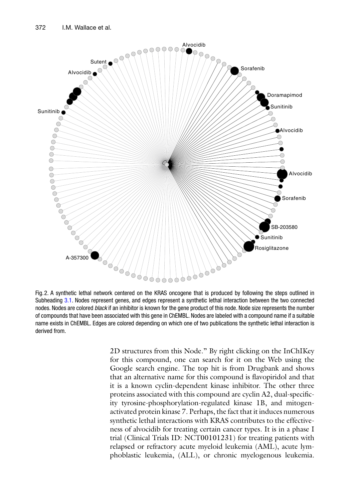<span id="page-9-0"></span>

Fig.2. A synthetic lethal network centered on the KRAS oncogene that is produced by following the steps outlined in Subheading [3.1.](#page-6-0) Nodes represent genes, and edges represent a synthetic lethal interaction between the two connected nodes. Nodes are colored *black* if an inhibitor is known for the gene product of this node. Node size represents the number of compounds that have been associated with this gene in ChEMBL. Nodes are labeled with a compound name if a suitable name exists in ChEMBL. Edges are colored depending on which one of two publications the synthetic lethal interaction is derived from.

2D structures from this Node." By right clicking on the InChIKey for this compound, one can search for it on the Web using the Google search engine. The top hit is from Drugbank and shows that an alternative name for this compound is flavopiridol and that it is a known cyclin-dependent kinase inhibitor. The other three proteins associated with this compound are cyclin A2, dual-specificity tyrosine-phosphorylation-regulated kinase 1B, and mitogenactivated protein kinase 7. Perhaps, the fact that it induces numerous synthetic lethal interactions with KRAS contributes to the effectiveness of alvocidib for treating certain cancer types. It is in a phase I trial (Clinical Trials ID: NCT00101231) for treating patients with relapsed or refractory acute myeloid leukemia (AML), acute lymphoblastic leukemia, (ALL), or chronic myelogenous leukemia.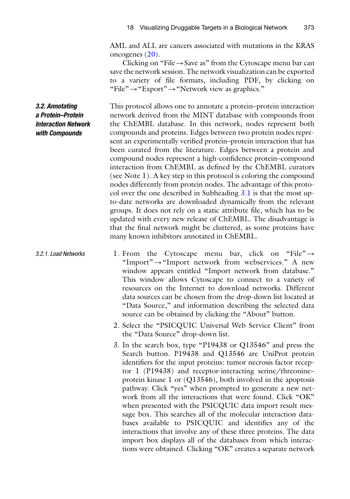AML and ALL are cancers associated with mutations in the KRAS oncogenes [\(20\)](#page-13-19).

Clicking on "File→Save as" from the Cytoscape menu bar can save the network session. The network visualization can be exported to a variety of file formats, including PDF, by clicking on "File" $\rightarrow$  "Export" $\rightarrow$  "Network view as graphics."

This protocol allows one to annotate a protein–protein interaction network derived from the MINT database with compounds from the ChEMBL database. In this network, nodes represent both compounds and proteins. Edges between two protein nodes represent an experimentally verified protein–protein interaction that has been curated from the literature. Edges between a protein and compound nodes represent a high-confidence protein–compound interaction from ChEMBL as defined by the ChEMBL curators (see Note 1). A key step in this protocol is coloring the compound nodes differently from protein nodes. The advantage of this protocol over the one described in Subheading [3.1](#page-6-0) is that the most upto-date networks are downloaded dynamically from the relevant groups. It does not rely on a static attribute file, which has to be updated with every new release of ChEMBL. The disadvantage is that the final network might be cluttered, as some proteins have many known inhibitors annotated in ChEMBL. *3.2. Annotating a Protein–Protein Interaction Network with Compounds*

1. From the Cytoscape menu bar, click on "File" $\rightarrow$ "Import"→"Import network from webservices." A new window appears entitled "Import network from database." This window allows Cytoscape to connect to a variety of resources on the Internet to download networks. Different data sources can be chosen from the drop-down list located at "Data Source," and information describing the selected data source can be obtained by clicking the "About" button. *3.2.1. Load Networks*

- 2. Select the "PSICQUIC Universal Web Service Client" from the "Data Source" drop-down list.
- 3. In the search box, type "P19438 or Q13546" and press the Search button. P19438 and Q13546 are UniProt protein identifiers for the input proteins: tumor necrosis factor receptor 1 (P19438) and receptor-interacting serine/threonine– protein kinase 1 or (Q13546), both involved in the apoptosis pathway. Click "yes" when prompted to generate a new network from all the interactions that were found. Click "OK" when presented with the PSICQUIC data import result message box. This searches all of the molecular interaction databases available to PSICQUIC and identifies any of the interactions that involve any of these three proteins. The data import box displays all of the databases from which interactions were obtained. Clicking "OK" creates a separate network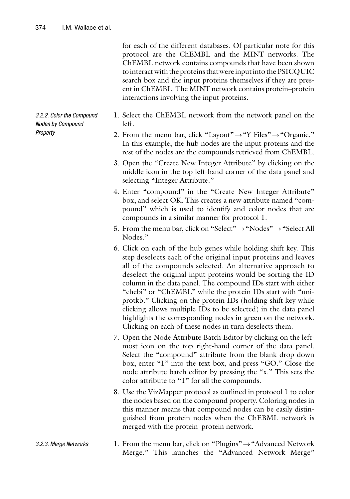for each of the different databases. Of particular note for this protocol are the ChEMBL and the MINT networks. The ChEMBL network contains compounds that have been shown to interact with the proteins that were input into the PSICQUIC search box and the input proteins themselves if they are present in ChEMBL. The MINT network contains protein–protein interactions involving the input proteins.

- 1. Select the ChEMBL network from the network panel on the left.
- 2. From the menu bar, click "Layout" $\rightarrow$  "Y Files" $\rightarrow$  "Organic." In this example, the hub nodes are the input proteins and the rest of the nodes are the compounds retrieved from ChEMBL.
- 3. Open the "Create New Integer Attribute" by clicking on the middle icon in the top left-hand corner of the data panel and selecting "Integer Attribute."
- 4. Enter "compound" in the "Create New Integer Attribute" box, and select OK. This creates a new attribute named "compound" which is used to identify and color nodes that are compounds in a similar manner for protocol 1.
- 5. From the menu bar, click on "Select"→"Nodes"→"Select All Nodes."
- 6. Click on each of the hub genes while holding shift key. This step deselects each of the original input proteins and leaves all of the compounds selected. An alternative approach to deselect the original input proteins would be sorting the ID column in the data panel. The compound IDs start with either "chebi" or "ChEMBL" while the protein IDs start with "uniprotkb." Clicking on the protein IDs (holding shift key while clicking allows multiple IDs to be selected) in the data panel highlights the corresponding nodes in green on the network. Clicking on each of these nodes in turn deselects them.
- 7. Open the Node Attribute Batch Editor by clicking on the leftmost icon on the top right-hand corner of the data panel. Select the "compound" attribute from the blank drop-down box, enter "1" into the text box, and press "GO." Close the node attribute batch editor by pressing the "x." This sets the color attribute to "1" for all the compounds.
- 8. Use the VizMapper protocol as outlined in protocol 1 to color the nodes based on the compound property. Coloring nodes in this manner means that compound nodes can be easily distinguished from protein nodes when the ChEBML network is merged with the protein–protein network.
- 1. From the menu bar, click on "Plugins"→"Advanced Network Merge." This launches the "Advanced Network Merge" *3.2.3. Merge Networks*

*3.2.2. Color the Compound Nodes by Compound Property*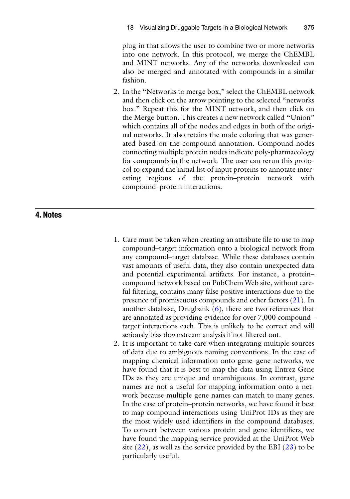plug-in that allows the user to combine two or more networks into one network. In this protocol, we merge the ChEMBL and MINT networks. Any of the networks downloaded can also be merged and annotated with compounds in a similar fashion.

2. In the "Networks to merge box," select the ChEMBL network and then click on the arrow pointing to the selected "networks box." Repeat this for the MINT network, and then click on the Merge button. This creates a new network called "Union" which contains all of the nodes and edges in both of the original networks. It also retains the node coloring that was generated based on the compound annotation. Compound nodes connecting multiple protein nodes indicate poly-pharmacology for compounds in the network. The user can rerun this protocol to expand the initial list of input proteins to annotate interesting regions of the protein–protein network with compound–protein interactions.

#### **4. Notes**

- 1. Care must be taken when creating an attribute file to use to map compound–target information onto a biological network from any compound–target database. While these databases contain vast amounts of useful data, they also contain unexpected data and potential experimental artifacts. For instance, a protein– compound network based on PubChem Web site, without careful filtering, contains many false positive interactions due to the presence of promiscuous compounds and other factors [\(21\)](#page-13-20). In another database, Drugbank  $(6)$  $(6)$ , there are two references that are annotated as providing evidence for over 7,000 compound– target interactions each. This is unlikely to be correct and will seriously bias downstream analysis if not filtered out.
- 2. It is important to take care when integrating multiple sources of data due to ambiguous naming conventions. In the case of mapping chemical information onto gene–gene networks, we have found that it is best to map the data using Entrez Gene IDs as they are unique and unambiguous. In contrast, gene names are not a useful for mapping information onto a network because multiple gene names can match to many genes. In the case of protein–protein networks, we have found it best to map compound interactions using UniProt IDs as they are the most widely used identifiers in the compound databases. To convert between various protein and gene identifiers, we have found the mapping service provided at the UniProt Web site  $(22)$  $(22)$ , as well as the service provided by the EBI  $(23)$  $(23)$  to be particularly useful.